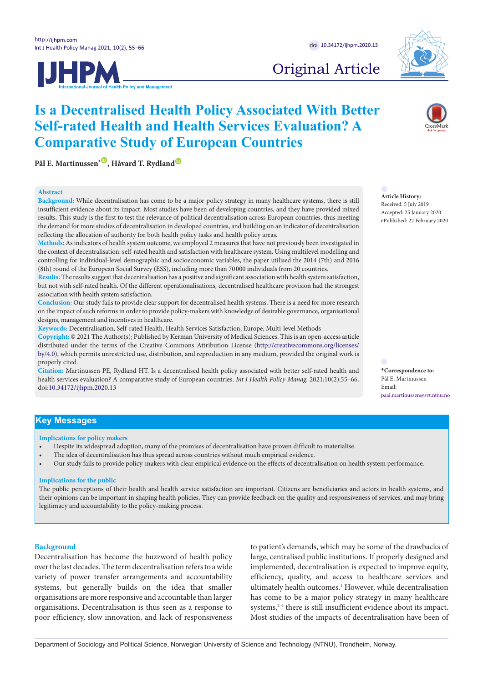**IJHPM** 

**Pål E. Martinussen<sup>[\\*](#page-0-0)</sup><sup>0</sup>, Håvard T. Rydland<sup><sup>1</sup>**</sup>



## Original Article

# **Is a Decentralised Health Policy Associated With Better Self-rated Health and Health Services Evaluation? A**



**Article History:** Received: 5 July 2019 Accepted: 25 January 2020 ePublished: 22 February 2020

**Background:** While decentralisation has come to be a major policy strategy in many healthcare systems, there is still insufficient evidence about its impact. Most studies have been of developing countries, and they have provided mixed results. This study is the first to test the relevance of political decentralisation across European countries, thus meeting the demand for more studies of decentralisation in developed countries, and building on an indicator of decentralisation reflecting the allocation of authority for both health policy tasks and health policy areas.

**Comparative Study of European Countries**

**Methods:** As indicators of health system outcome, we employed 2 measures that have not previously been investigated in the context of decentralisation: self-rated health and satisfaction with healthcare system. Using multilevel modelling and controlling for individual-level demographic and socioeconomic variables, the paper utilised the 2014 (7th) and 2016 (8th) round of the European Social Survey (ESS), including more than 70 000 individuals from 20 countries.

**Results:** The results suggest that decentralisation has a positive and significant association with health system satisfaction, but not with self-rated health. Of the different operationalisations, decentralised healthcare provision had the strongest association with health system satisfaction.

**Conclusion:** Our study fails to provide clear support for decentralised health systems. There is a need for more research on the impact of such reforms in order to provide policy-makers with knowledge of desirable governance, organisational designs, management and incentives in healthcare.

**Keywords:** Decentralisation, Self-rated Health, Health Services Satisfaction, Europe, Multi-level Methods

**Copyright:** © 2021 The Author(s); Published by Kerman University of Medical Sciences. This is an open-access article distributed under the terms of the Creative Commons Attribution License [\(http://creativecommons.org/licenses/](http://creativecommons.org/licenses/by/4.0) [by/4.0\)](http://creativecommons.org/licenses/by/4.0), which permits unrestricted use, distribution, and reproduction in any medium, provided the original work is properly cited.

**Citation:** Martinussen PE, Rydland HT. Is a decentralised health policy associated with better self-rated health and health services evaluation? A comparative study of European countries. *Int J Health Policy Manag.* 2021;10(2):55–66. doi:[10.34172/ijhpm.2020.13](https://doi.org/10.34172/ijhpm.2020.13)

<span id="page-0-0"></span>**\*Correspondence to:** Pål E. Martinussen Email: paal.martinussen@svt.ntnu.no

## - **Key Messages**

**Abstract**

**Implications for policy makers**

- Despite its widespread adoption, many of the promises of decentralisation have proven difficult to materialise.
- The idea of decentralisation has thus spread across countries without much empirical evidence.
- Our study fails to provide policy-makers with clear empirical evidence on the effects of decentralisation on health system performance.

## **Implications for the public**

The public perceptions of their health and health service satisfaction are important. Citizens are beneficiaries and actors in health systems, and their opinions can be important in shaping health policies. They can provide feedback on the quality and responsiveness of services, and may bring legitimacy and accountability to the policy-making process.

**Background**

Decentralisation has become the buzzword of health policy over the last decades. The term decentralisation refers to a wide variety of power transfer arrangements and accountability systems, but generally builds on the idea that smaller organisations are more responsive and accountable than larger organisations. Decentralisation is thus seen as a response to poor efficiency, slow innovation, and lack of responsiveness

to patient's demands, which may be some of the drawbacks of large, centralised public institutions. If properly designed and implemented, decentralisation is expected to improve equity, efficiency, quality, and access to healthcare services and ultimately health outcomes.<sup>1</sup> However, while decentralisation has come to be a major policy strategy in many healthcare systems,<sup>2-4</sup> there is still insufficient evidence about its impact. Most studies of the impacts of decentralisation have been of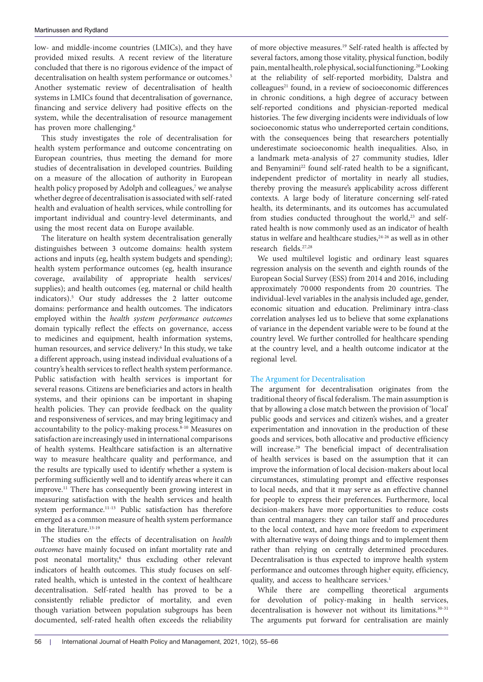low- and middle-income countries (LMICs), and they have provided mixed results. A recent review of the literature concluded that there is no rigorous evidence of the impact of decentralisation on health system performance or outcomes.<sup>5</sup> Another systematic review of decentralisation of health systems in LMICs found that decentralisation of governance, financing and service delivery had positive effects on the system, while the decentralisation of resource management has proven more challenging.<sup>6</sup>

This study investigates the role of decentralisation for health system performance and outcome concentrating on European countries, thus meeting the demand for more studies of decentralisation in developed countries. Building on a measure of the allocation of authority in European health policy proposed by Adolph and colleagues,7 we analyse whether degree of decentralisation is associated with self-rated health and evaluation of health services, while controlling for important individual and country-level determinants, and using the most recent data on Europe available.

The literature on health system decentralisation generally distinguishes between 3 outcome domains: health system actions and inputs (eg, health system budgets and spending); health system performance outcomes (eg, health insurance coverage, availability of appropriate health services/ supplies); and health outcomes (eg, maternal or child health indicators).5 Our study addresses the 2 latter outcome domains: performance and health outcomes. The indicators employed within the *health system performance outcomes* domain typically reflect the effects on governance, access to medicines and equipment, health information systems, human resources, and service delivery.6 In this study, we take a different approach, using instead individual evaluations of a country's health services to reflect health system performance. Public satisfaction with health services is important for several reasons. Citizens are beneficiaries and actors in health systems, and their opinions can be important in shaping health policies. They can provide feedback on the quality and responsiveness of services, and may bring legitimacy and accountability to the policy-making process.<sup>8-10</sup> Measures on satisfaction are increasingly used in international comparisons of health systems. Healthcare satisfaction is an alternative way to measure healthcare quality and performance, and the results are typically used to identify whether a system is performing sufficiently well and to identify areas where it can improve.11 There has consequently been growing interest in measuring satisfaction with the health services and health system performance.11-13 Public satisfaction has therefore emerged as a common measure of health system performance in the literature.<sup>13-19</sup>

The studies on the effects of decentralisation on *health outcomes* have mainly focused on infant mortality rate and post neonatal mortality,<sup>6</sup> thus excluding other relevant indicators of health outcomes. This study focuses on selfrated health, which is untested in the context of healthcare decentralisation. Self-rated health has proved to be a consistently reliable predictor of mortality, and even though variation between population subgroups has been documented, self-rated health often exceeds the reliability

of more objective measures.<sup>19</sup> Self-rated health is affected by several factors, among those vitality, physical function, bodily pain, mental health, role physical, social functioning.20 Looking at the reliability of self-reported morbidity, Dalstra and colleagues<sup>21</sup> found, in a review of socioeconomic differences in chronic conditions, a high degree of accuracy between self-reported conditions and physician-reported medical histories. The few diverging incidents were individuals of low socioeconomic status who underreported certain conditions, with the consequences being that researchers potentially underestimate socioeconomic health inequalities. Also, in a landmark meta-analysis of 27 community studies, Idler and Benyamini<sup>22</sup> found self-rated health to be a significant, independent predictor of mortality in nearly all studies, thereby proving the measure's applicability across different contexts. A large body of literature concerning self-rated health, its determinants, and its outcomes has accumulated from studies conducted throughout the world,<sup>23</sup> and selfrated health is now commonly used as an indicator of health status in welfare and healthcare studies,<sup>24-26</sup> as well as in other research fields.27,28

We used multilevel logistic and ordinary least squares regression analysis on the seventh and eighth rounds of the European Social Survey (ESS) from 2014 and 2016, including approximately 70 000 respondents from 20 countries. The individual-level variables in the analysis included age, gender, economic situation and education. Preliminary intra-class correlation analyses led us to believe that some explanations of variance in the dependent variable were to be found at the country level. We further controlled for healthcare spending at the country level, and a health outcome indicator at the regional level.

## The Argument for Decentralisation

The argument for decentralisation originates from the traditional theory of fiscal federalism. The main assumption is that by allowing a close match between the provision of 'local' public goods and services and citizen's wishes, and a greater experimentation and innovation in the production of these goods and services, both allocative and productive efficiency will increase.<sup>29</sup> The beneficial impact of decentralisation of health services is based on the assumption that it can improve the information of local decision-makers about local circumstances, stimulating prompt and effective responses to local needs, and that it may serve as an effective channel for people to express their preferences. Furthermore, local decision-makers have more opportunities to reduce costs than central managers: they can tailor staff and procedures to the local context, and have more freedom to experiment with alternative ways of doing things and to implement them rather than relying on centrally determined procedures. Decentralisation is thus expected to improve health system performance and outcomes through higher equity, efficiency, quality, and access to healthcare services.<sup>1</sup>

While there are compelling theoretical arguments for devolution of policy-making in health services, decentralisation is however not without its limitations.<sup>30-31</sup> The arguments put forward for centralisation are mainly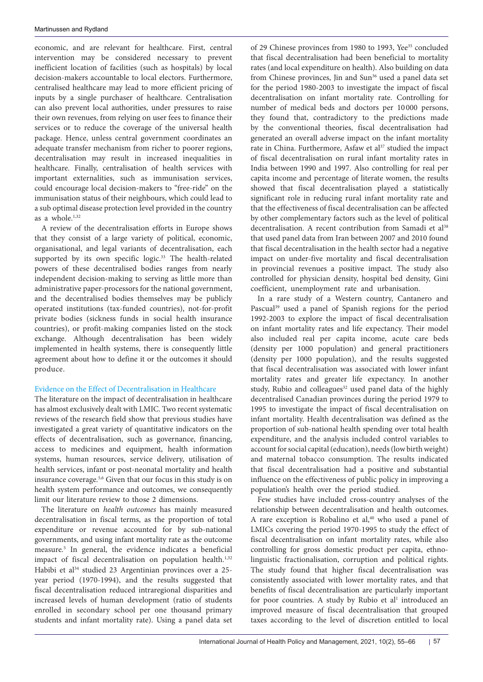economic, and are relevant for healthcare. First, central intervention may be considered necessary to prevent inefficient location of facilities (such as hospitals) by local decision-makers accountable to local electors. Furthermore, centralised healthcare may lead to more efficient pricing of inputs by a single purchaser of healthcare. Centralisation can also prevent local authorities, under pressures to raise their own revenues, from relying on user fees to finance their services or to reduce the coverage of the universal health package. Hence, unless central government coordinates an adequate transfer mechanism from richer to poorer regions, decentralisation may result in increased inequalities in healthcare. Finally, centralisation of health services with important externalities, such as immunisation services, could encourage local decision-makers to "free-ride" on the immunisation status of their neighbours, which could lead to a sub optimal disease protection level provided in the country as a whole.<sup>1,32</sup>

A review of the decentralisation efforts in Europe shows that they consist of a large variety of political, economic, organisational, and legal variants of decentralisation, each supported by its own specific logic.<sup>33</sup> The health-related powers of these decentralised bodies ranges from nearly independent decision-making to serving as little more than administrative paper-processors for the national government, and the decentralised bodies themselves may be publicly operated institutions (tax-funded countries), not-for-profit private bodies (sickness funds in social health insurance countries), or profit-making companies listed on the stock exchange. Although decentralisation has been widely implemented in health systems, there is consequently little agreement about how to define it or the outcomes it should produce.

## Evidence on the Effect of Decentralisation in Healthcare

The literature on the impact of decentralisation in healthcare has almost exclusively dealt with LMIC. Two recent systematic reviews of the research field show that previous studies have investigated a great variety of quantitative indicators on the effects of decentralisation, such as governance, financing, access to medicines and equipment, health information systems, human resources, service delivery, utilisation of health services, infant or post-neonatal mortality and health insurance coverage.5,6 Given that our focus in this study is on health system performance and outcomes, we consequently limit our literature review to those 2 dimensions.

The literature on *health outcomes* has mainly measured decentralisation in fiscal terms, as the proportion of total expenditure or revenue accounted for by sub-national governments, and using infant mortality rate as the outcome measure.5 In general, the evidence indicates a beneficial impact of fiscal decentralisation on population health.<sup>1,32</sup> Habibi et al<sup>34</sup> studied 23 Argentinian provinces over a 25year period (1970-1994), and the results suggested that fiscal decentralisation reduced intraregional disparities and increased levels of human development (ratio of students enrolled in secondary school per one thousand primary students and infant mortality rate). Using a panel data set

of 29 Chinese provinces from 1980 to 1993, Yee<sup>35</sup> concluded that fiscal decentralisation had been beneficial to mortality rates (and local expenditure on health). Also building on data from Chinese provinces, Jin and Sun<sup>36</sup> used a panel data set for the period 1980-2003 to investigate the impact of fiscal decentralisation on infant mortality rate. Controlling for number of medical beds and doctors per 10 000 persons, they found that, contradictory to the predictions made by the conventional theories, fiscal decentralisation had generated an overall adverse impact on the infant mortality rate in China. Furthermore, Asfaw et al<sup>37</sup> studied the impact of fiscal decentralisation on rural infant mortality rates in India between 1990 and 1997. Also controlling for real per capita income and percentage of literate women, the results showed that fiscal decentralisation played a statistically significant role in reducing rural infant mortality rate and that the effectiveness of fiscal decentralisation can be affected by other complementary factors such as the level of political decentralisation. A recent contribution from Samadi et al<sup>38</sup> that used panel data from Iran between 2007 and 2010 found that fiscal decentralisation in the health sector had a negative impact on under-five mortality and fiscal decentralisation in provincial revenues a positive impact. The study also controlled for physician density, hospital bed density, Gini coefficient, unemployment rate and urbanisation.

In a rare study of a Western country, Cantanero and Pascual<sup>39</sup> used a panel of Spanish regions for the period 1992-2003 to explore the impact of fiscal decentralisation on infant mortality rates and life expectancy. Their model also included real per capita income, acute care beds (density per 1000 population) and general practitioners (density per 1000 population), and the results suggested that fiscal decentralisation was associated with lower infant mortality rates and greater life expectancy. In another study, Rubio and colleagues<sup>32</sup> used panel data of the highly decentralised Canadian provinces during the period 1979 to 1995 to investigate the impact of fiscal decentralisation on infant mortality. Health decentralisation was defined as the proportion of sub-national health spending over total health expenditure, and the analysis included control variables to account for social capital (education), needs (low birth weight) and maternal tobacco consumption. The results indicated that fiscal decentralisation had a positive and substantial influence on the effectiveness of public policy in improving a population's health over the period studied.

Few studies have included cross-country analyses of the relationship between decentralisation and health outcomes. A rare exception is Robalino et al,<sup>40</sup> who used a panel of LMICs covering the period 1970-1995 to study the effect of fiscal decentralisation on infant mortality rates, while also controlling for gross domestic product per capita, ethnolinguistic fractionalisation, corruption and political rights. The study found that higher fiscal decentralisation was consistently associated with lower mortality rates, and that benefits of fiscal decentralisation are particularly important for poor countries. A study by Rubio et al<sup>1</sup> introduced an improved measure of fiscal decentralisation that grouped taxes according to the level of discretion entitled to local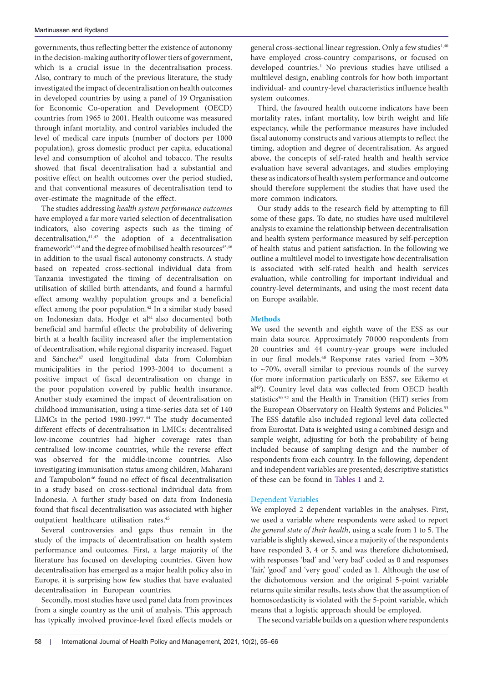governments, thus reflecting better the existence of autonomy in the decision-making authority of lower tiers of government, which is a crucial issue in the decentralisation process. Also, contrary to much of the previous literature, the study investigated the impact of decentralisation on health outcomes in developed countries by using a panel of 19 Organisation for Economic Co-operation and Development (OECD) countries from 1965 to 2001. Health outcome was measured through infant mortality, and control variables included the level of medical care inputs (number of doctors per 1000 population), gross domestic product per capita, educational level and consumption of alcohol and tobacco. The results showed that fiscal decentralisation had a substantial and positive effect on health outcomes over the period studied, and that conventional measures of decentralisation tend to over-estimate the magnitude of the effect.

The studies addressing *health system performance outcomes* have employed a far more varied selection of decentralisation indicators, also covering aspects such as the timing of decentralisation,<sup>41,42</sup> the adoption of a decentralisation framework<sup>43,44</sup> and the degree of mobilised health resources<sup>45,46</sup> in addition to the usual fiscal autonomy constructs. A study based on repeated cross-sectional individual data from Tanzania investigated the timing of decentralisation on utilisation of skilled birth attendants, and found a harmful effect among wealthy population groups and a beneficial effect among the poor population.42 In a similar study based on Indonesian data, Hodge et al<sup>41</sup> also documented both beneficial and harmful effects: the probability of delivering birth at a health facility increased after the implementation of decentralisation, while regional disparity increased. Faguet and Sánchez $47$  used longitudinal data from Colombian municipalities in the period 1993-2004 to document a positive impact of fiscal decentralisation on change in the poor population covered by public health insurance. Another study examined the impact of decentralisation on childhood immunisation, using a time-series data set of 140 LIMCs in the period 1980-1997.<sup>44</sup> The study documented different effects of decentralisation in LMICs: decentralised low-income countries had higher coverage rates than centralised low-income countries, while the reverse effect was observed for the middle-income countries. Also investigating immunisation status among children, Maharani and Tampubolon<sup>46</sup> found no effect of fiscal decentralisation in a study based on cross-sectional individual data from Indonesia. A further study based on data from Indonesia found that fiscal decentralisation was associated with higher outpatient healthcare utilisation rates.45

Several controversies and gaps thus remain in the study of the impacts of decentralisation on health system performance and outcomes. First, a large majority of the literature has focused on developing countries. Given how decentralisation has emerged as a major health policy also in Europe, it is surprising how few studies that have evaluated decentralisation in European countries.

Secondly, most studies have used panel data from provinces from a single country as the unit of analysis. This approach has typically involved province-level fixed effects models or

general cross-sectional linear regression. Only a few studies<sup>1,40</sup> have employed cross-country comparisons, or focused on developed countries.<sup>1</sup> No previous studies have utilised a multilevel design, enabling controls for how both important individual- and country-level characteristics influence health system outcomes.

Third, the favoured health outcome indicators have been mortality rates, infant mortality, low birth weight and life expectancy, while the performance measures have included fiscal autonomy constructs and various attempts to reflect the timing, adoption and degree of decentralisation. As argued above, the concepts of self-rated health and health service evaluation have several advantages, and studies employing these as indicators of health system performance and outcome should therefore supplement the studies that have used the more common indicators.

Our study adds to the research field by attempting to fill some of these gaps. To date, no studies have used multilevel analysis to examine the relationship between decentralisation and health system performance measured by self-perception of health status and patient satisfaction. In the following we outline a multilevel model to investigate how decentralisation is associated with self-rated health and health services evaluation, while controlling for important individual and country-level determinants, and using the most recent data on Europe available.

## **Methods**

We used the seventh and eighth wave of the ESS as our main data source. Approximately 70 000 respondents from 20 countries and 44 country-year groups were included in our final models.<sup>48</sup> Response rates varied from  $\sim$ 30% to  $\sim$ 70%, overall similar to previous rounds of the survey (for more information particularly on ESS7, see Eikemo et al<sup>49</sup>). Country level data was collected from OECD health statistics<sup>50-52</sup> and the Health in Transition (HiT) series from the European Observatory on Health Systems and Policies.<sup>53</sup> The ESS datafile also included regional level data collected from Eurostat. Data is weighted using a combined design and sample weight, adjusting for both the probability of being included because of sampling design and the number of respondents from each country. In the following, dependent and independent variables are presented; descriptive statistics of these can be found in [Tables 1](#page-4-0) and [2](#page-5-0).

## Dependent Variables

We employed 2 dependent variables in the analyses. First, we used a variable where respondents were asked to report *the general state of their health*, using a scale from 1 to 5. The variable is slightly skewed, since a majority of the respondents have responded 3, 4 or 5, and was therefore dichotomised, with responses 'bad' and 'very bad' coded as 0 and responses 'fair,' 'good' and 'very good' coded as 1. Although the use of the dichotomous version and the original 5-point variable returns quite similar results, tests show that the assumption of homoscedasticity is violated with the 5-point variable, which means that a logistic approach should be employed.

The second variable builds on a question where respondents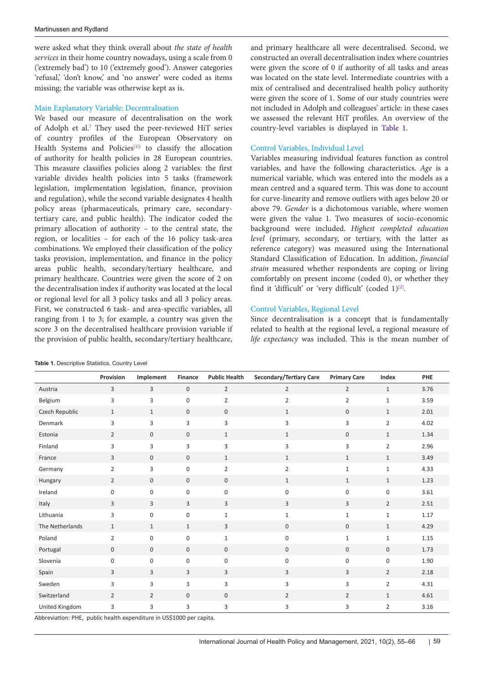were asked what they think overall about *the state of health services* in their home country nowadays, using a scale from 0 ('extremely bad') to 10 ('extremely good'). Answer categories 'refusal,' 'don't know,' and 'no answer' were coded as items missing; the variable was otherwise kept as is.

#### Main Explanatory Variable: Decentralisation

We based our measure of decentralisation on the work of Adolph et al.<sup>7</sup> They used the peer-reviewed HiT series of country profiles of the European Observatory on Health Systems and Policies $[1]$  to classify the allocation of authority for health policies in 28 European countries. This measure classifies policies along 2 variables: the first variable divides health policies into 5 tasks (framework legislation, implementation legislation, finance, provision and regulation), while the second variable designates 4 health policy areas (pharmaceuticals, primary care, secondarytertiary care, and public health). The indicator coded the primary allocation of authority – to the central state, the region, or localities – for each of the 16 policy task-area combinations. We employed their classification of the policy tasks provision, implementation, and finance in the policy areas public health, secondary/tertiary healthcare, and primary healthcare. Countries were given the score of 2 on the decentralisation index if authority was located at the local or regional level for all 3 policy tasks and all 3 policy areas. First, we constructed 6 task- and area-specific variables, all ranging from 1 to 3; for example, a country was given the score 3 on the decentralised healthcare provision variable if the provision of public health, secondary/tertiary healthcare,

<span id="page-4-0"></span>

| Table 1. Descriptive Statistics, Country Level |
|------------------------------------------------|
|------------------------------------------------|

and primary healthcare all were decentralised. Second, we constructed an overall decentralisation index where countries were given the score of 0 if authority of all tasks and areas was located on the state level. Intermediate countries with a mix of centralised and decentralised health policy authority were given the score of 1. Some of our study countries were not included in Adolph and colleagues' article: in these cases we assessed the relevant HiT profiles. An overview of the country-level variables is displayed in [Table 1.](#page-4-0)

## Control Variables, Individual Level

Variables measuring individual features function as control variables, and have the following characteristics. *Age* is a numerical variable, which was entered into the models as a mean centred and a squared term. This was done to account for curve-linearity and remove outliers with ages below 20 or above 79. *Gender* is a dichotomous variable, where women were given the value 1. Two measures of socio-economic background were included. *Highest completed education level* (primary, secondary, or tertiary, with the latter as reference category) was measured using the International Standard Classification of Education. In addition, *financial strain* measured whether respondents are coping or living comfortably on present income (coded 0), or whether they find it 'difficult' or 'very difficult' (coded  $1$ )<sup>[2]</sup>.

#### Control Variables, Regional Level

Since decentralisation is a concept that is fundamentally related to health at the regional level, a regional measure of *life expectancy* was included. This is the mean number of

|                 | Provision      | Implement      | Finance      | <b>Public Health</b> | <b>Secondary/Tertiary Care</b> | <b>Primary Care</b> | Index          | PHE  |
|-----------------|----------------|----------------|--------------|----------------------|--------------------------------|---------------------|----------------|------|
| Austria         | 3              | 3              | $\mathbf 0$  | $\overline{2}$       | $\overline{2}$                 | $\overline{2}$      | $\mathbf{1}$   | 3.76 |
| Belgium         | 3              | 3              | $\mathbf 0$  | $\overline{2}$       | $\overline{2}$                 | $\overline{2}$      | $\mathbf 1$    | 3.59 |
| Czech Republic  | $\mathbf{1}$   | $\mathbf{1}$   | $\mathsf{O}$ | $\mathsf{O}\xspace$  | $\mathbf{1}$                   | $\mathbf 0$         | $\mathbf{1}$   | 2.01 |
| Denmark         | 3              | 3              | 3            | 3                    | 3                              | 3                   | $\overline{2}$ | 4.02 |
| Estonia         | $\overline{2}$ | $\mathbf 0$    | $\mathbf{0}$ | $\mathbf{1}$         | $\mathbf{1}$                   | $\pmb{0}$           | $\mathbf{1}$   | 1.34 |
| Finland         | 3              | 3              | 3            | 3                    | 3                              | 3                   | $\overline{2}$ | 2.96 |
| France          | 3              | $\mathbf 0$    | $\mathbf 0$  | $\mathbf{1}$         | $\mathbf{1}$                   | $1\,$               | $\mathbf{1}$   | 3.49 |
| Germany         | $\overline{2}$ | 3              | $\mathbf 0$  | $\overline{2}$       | $\overline{2}$                 | $\mathbf 1$         | $\mathbf{1}$   | 4.33 |
| Hungary         | $\overline{2}$ | $\mathbf{0}$   | $\mathbf 0$  | $\mathsf{O}\xspace$  | $\mathbf{1}$                   | $\mathbf{1}$        | $\mathbf{1}$   | 1.23 |
| Ireland         | 0              | $\mathbf 0$    | $\mathbf 0$  | 0                    | 0                              | $\mathsf 0$         | $\mathbf 0$    | 3.61 |
| Italy           | 3              | $\overline{3}$ | 3            | 3                    | 3                              | 3                   | $\overline{2}$ | 2.51 |
| Lithuania       | 3              | $\mathbf 0$    | $\mathbf 0$  | $\mathbf{1}$         | $\mathbf{1}$                   | $\mathbf{1}$        | $\mathbf{1}$   | 1.17 |
| The Netherlands | $\mathbf{1}$   | $\mathbf{1}$   | $\mathbf{1}$ | 3                    | $\mathbf 0$                    | $\pmb{0}$           | $\mathbf{1}$   | 4.29 |
| Poland          | $\overline{2}$ | $\mathbf 0$    | $\mathbf 0$  | $\mathbf{1}$         | 0                              | $1\,$               | $\mathbf{1}$   | 1.15 |
| Portugal        | $\mathbf 0$    | $\mathbf 0$    | $\mathsf{O}$ | $\mathbf 0$          | $\mathbf 0$                    | $\mathbf 0$         | $\mathbf 0$    | 1.73 |
| Slovenia        | 0              | $\mathbf 0$    | $\mathbf 0$  | 0                    | 0                              | $\mathsf 0$         | $\mathbf 0$    | 1.90 |
| Spain           | 3              | 3              | 3            | 3                    | 3                              | 3                   | $\overline{2}$ | 2.18 |
| Sweden          | 3              | 3              | 3            | 3                    | 3                              | 3                   | $\overline{2}$ | 4.31 |
| Switzerland     | $\overline{2}$ | $\overline{2}$ | $\mathsf{O}$ | $\mathsf{O}\xspace$  | $\overline{2}$                 | $\overline{2}$      | $\mathbf{1}$   | 4.61 |
| United Kingdom  | 3              | 3              | 3            | 3                    | 3                              | 3                   | $\overline{2}$ | 3.16 |

Abbreviation: PHE, public health expenditure in US\$1000 per capita.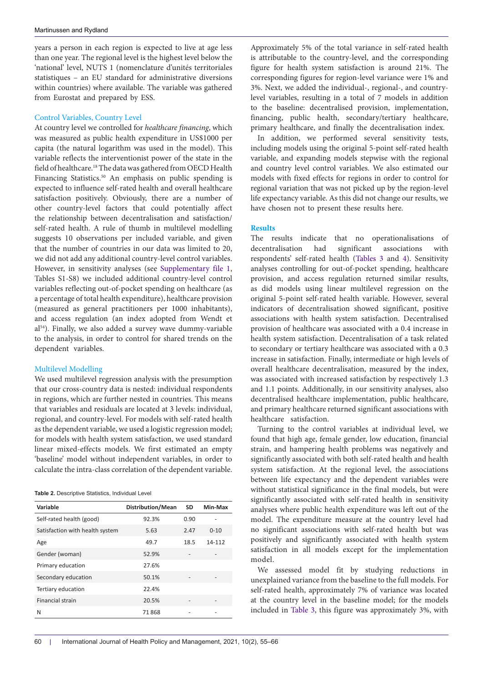years a person in each region is expected to live at age less than one year. The regional level is the highest level below the 'national' level, NUTS 1 (nomenclature d'unités territoriales statistiques – an EU standard for administrative diversions within countries) where available. The variable was gathered from Eurostat and prepared by ESS.

### Control Variables, Country Level

At country level we controlled for *healthcare financing*, which was measured as public health expenditure in US\$1000 per capita (the natural logarithm was used in the model). This variable reflects the interventionist power of the state in the field of healthcare.<sup>18</sup> The data was gathered from OECD Health Financing Statistics.<sup>50</sup> An emphasis on public spending is expected to influence self-rated health and overall healthcare satisfaction positively. Obviously, there are a number of other country-level factors that could potentially affect the relationship between decentralisation and satisfaction/ self-rated health. A rule of thumb in multilevel modelling suggests 10 observations per included variable, and given that the number of countries in our data was limited to 20, we did not add any additional country-level control variables. However, in sensitivity analyses (see [Supplementary file 1](#page-9-2), Tables S1-S8) we included additional country-level control variables reflecting out-of-pocket spending on healthcare (as a percentage of total health expenditure), healthcare provision (measured as general practitioners per 1000 inhabitants), and access regulation (an index adopted from Wendt et al54). Finally, we also added a survey wave dummy-variable to the analysis, in order to control for shared trends on the dependent variables.

## Multilevel Modelling

We used multilevel regression analysis with the presumption that our cross-country data is nested: individual respondents in regions, which are further nested in countries. This means that variables and residuals are located at 3 levels: individual, regional, and country-level. For models with self-rated health as the dependent variable, we used a logistic regression model; for models with health system satisfaction, we used standard linear mixed-effects models. We first estimated an empty 'baseline' model without independent variables, in order to calculate the intra-class correlation of the dependent variable.

<span id="page-5-0"></span>

|  |  |  | Table 2. Descriptive Statistics, Individual Level |  |  |  |
|--|--|--|---------------------------------------------------|--|--|--|
|--|--|--|---------------------------------------------------|--|--|--|

| Variable                        | Distribution/Mean | <b>SD</b> | Min-Max                      |
|---------------------------------|-------------------|-----------|------------------------------|
| Self-rated health (good)        | 92.3%             | 0.90      |                              |
| Satisfaction with health system | 5.63              | 2.47      | $0 - 10$                     |
| Age                             | 49.7              | 18.5      | 14-112                       |
| Gender (woman)                  | 52.9%             |           |                              |
| Primary education               | 27.6%             |           |                              |
| Secondary education             | 50.1%             |           |                              |
| Tertiary education              | 22.4%             |           |                              |
| <b>Financial strain</b>         | 20.5%             |           | $\qquad \qquad \blacksquare$ |
| N                               | 71868             |           |                              |

Approximately 5% of the total variance in self-rated health is attributable to the country-level, and the corresponding figure for health system satisfaction is around 21%. The corresponding figures for region-level variance were 1% and 3%. Next, we added the individual-, regional-, and countrylevel variables, resulting in a total of 7 models in addition to the baseline: decentralised provision, implementation, financing, public health, secondary/tertiary healthcare, primary healthcare, and finally the decentralisation index.

In addition, we performed several sensitivity tests, including models using the original 5-point self-rated health variable, and expanding models stepwise with the regional and country level control variables. We also estimated our models with fixed effects for regions in order to control for regional variation that was not picked up by the region-level life expectancy variable. As this did not change our results, we have chosen not to present these results here.

## **Results**

The results indicate that no operationalisations of decentralisation had significant associations with respondents' self-rated health ([Tables 3](#page-6-0) and [4](#page-7-0)). Sensitivity analyses controlling for out-of-pocket spending, healthcare provision, and access regulation returned similar results, as did models using linear multilevel regression on the original 5-point self-rated health variable. However, several indicators of decentralisation showed significant, positive associations with health system satisfaction. Decentralised provision of healthcare was associated with a 0.4 increase in health system satisfaction. Decentralisation of a task related to secondary or tertiary healthcare was associated with a 0.3 increase in satisfaction. Finally, intermediate or high levels of overall healthcare decentralisation, measured by the index, was associated with increased satisfaction by respectively 1.3 and 1.1 points. Additionally, in our sensitivity analyses, also decentralised healthcare implementation, public healthcare, and primary healthcare returned significant associations with healthcare satisfaction.

Turning to the control variables at individual level, we found that high age, female gender, low education, financial strain, and hampering health problems was negatively and significantly associated with both self-rated health and health system satisfaction. At the regional level, the associations between life expectancy and the dependent variables were without statistical significance in the final models, but were significantly associated with self-rated health in sensitivity analyses where public health expenditure was left out of the model. The expenditure measure at the country level had no significant associations with self-rated health but was positively and significantly associated with health system satisfaction in all models except for the implementation model.

We assessed model fit by studying reductions in unexplained variance from the baseline to the full models. For self-rated health, approximately 7% of variance was located at the country level in the baseline model; for the models included in [Table 3](#page-6-0), this figure was approximately 3%, with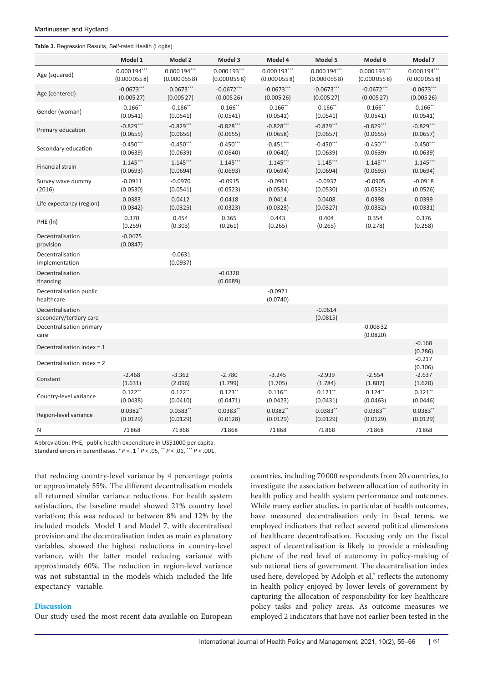#### <span id="page-6-0"></span>**Table 3.** Regression Results, Self-rated Health (Logits)

|                                             | Model 1               | Model 2               | Model 3               | Model 4               | Model 5               | Model 6                | Model 7             |
|---------------------------------------------|-----------------------|-----------------------|-----------------------|-----------------------|-----------------------|------------------------|---------------------|
| Age (squared)                               | $0.000194***$         | $0.000194***$         | $0.000193***$         | $0.000193***$         | $0.000194***$         | $0.000193***$          | $0.000194***$       |
|                                             | (0.0000558)           | (0.0000558)           | (0.0000558)           | (0.0000558)           | (0.0000558)           | (0.0000558)            | (0.0000558)         |
| Age (centered)                              | $-0.0673***$          | $-0.0673***$          | $-0.0672***$          | $-0.0673***$          | $-0.0673***$          | $-0.0672***$           | $-0.0673***$        |
|                                             | (0.00527)             | (0.00527)             | (0.00526)             | (0.00526)             | (0.00527)             | (0.00527)              | (0.00526)           |
| Gender (woman)                              | $-0.166$ **           | $-0.166$ **           | $-0.166$ **           | $-0.166$ **           | $-0.166$ **           | $-0.166$ **            | $-0.166$ **         |
|                                             | (0.0541)              | (0.0541)              | (0.0541)              | (0.0541)              | (0.0541)              | (0.0541)               | (0.0541)            |
| Primary education                           | $-0.829***$           | $-0.829***$           | $-0.828***$           | $-0.828***$           | $-0.829***$           | $-0.829***$            | $-0.829***$         |
|                                             | (0.0655)              | (0.0656)              | (0.0655)              | (0.0658)              | (0.0657)              | (0.0655)               | (0.0657)            |
| Secondary education                         | $-0.450***$           | $-0.450***$           | $-0.450***$           | $-0.451***$           | $-0.450***$           | $-0.450***$            | $-0.450***$         |
|                                             | (0.0639)              | (0.0639)              | (0.0640)              | (0.0640)              | (0.0639)              | (0.0639)               | (0.0639)            |
| Financial strain                            | $-1.145***$           | $-1.145***$           | $-1.145***$           | $-1.145***$           | $-1.145***$           | $-1.145***$            | $-1.145***$         |
|                                             | (0.0693)              | (0.0694)              | (0.0693)              | (0.0694)              | (0.0694)              | (0.0693)               | (0.0694)            |
| Survey wave dummy                           | $-0.0911$             | $-0.0970$             | $-0.0915$             | $-0.0961$             | $-0.0937$             | $-0.0905$              | $-0.0918$           |
| (2016)                                      | (0.0530)              | (0.0541)              | (0.0523)              | (0.0534)              | (0.0530)              | (0.0532)               | (0.0526)            |
| Life expectancy (region)                    | 0.0383                | 0.0412                | 0.0418                | 0.0414                | 0.0408                | 0.0398                 | 0.0399              |
|                                             | (0.0342)              | (0.0325)              | (0.0323)              | (0.0323)              | (0.0327)              | (0.0332)               | (0.0331)            |
| PHE (In)                                    | 0.370                 | 0.454                 | 0.365                 | 0.443                 | 0.404                 | 0.354                  | 0.376               |
|                                             | (0.259)               | (0.303)               | (0.261)               | (0.265)               | (0.265)               | (0.278)                | (0.258)             |
| Decentralisation<br>provision               | $-0.0475$<br>(0.0847) |                       |                       |                       |                       |                        |                     |
| Decentralisation<br>implementation          |                       | $-0.0631$<br>(0.0937) |                       |                       |                       |                        |                     |
| Decentralisation<br>financing               |                       |                       | $-0.0320$<br>(0.0689) |                       |                       |                        |                     |
| Decentralisation public<br>healthcare       |                       |                       |                       | $-0.0921$<br>(0.0740) |                       |                        |                     |
| Decentralisation<br>secondary/tertiary care |                       |                       |                       |                       | $-0.0614$<br>(0.0815) |                        |                     |
| Decentralisation primary<br>care            |                       |                       |                       |                       |                       | $-0.00832$<br>(0.0820) |                     |
| Decentralisation index = 1                  |                       |                       |                       |                       |                       |                        | $-0.168$<br>(0.286) |
| Decentralisation index = 2                  |                       |                       |                       |                       |                       |                        | $-0.217$<br>(0.306) |
| Constant                                    | $-2.468$              | $-3.362$              | $-2.780$              | $-3.245$              | $-2.939$              | $-2.554$               | $-2.637$            |
|                                             | (1.631)               | (2.096)               | (1.799)               | (1.705)               | (1.784)               | (1.807)                | (1.620)             |
| Country-level variance                      | $0.122**$             | $0.122$ **            | $0.123***$            | $0.116***$            | $0.121$ **            | $0.124**$              | $0.121$ **          |
|                                             | (0.0438)              | (0.0410)              | (0.0471)              | (0.0423)              | (0.0431)              | (0.0463)               | (0.0446)            |
| Region-level variance                       | $0.0382**$            | $0.0383**$            | 0.0383**              | $0.0382**$            | $0.0383**$            | $0.0383**$             | $0.0383**$          |
|                                             | (0.0129)              | (0.0129)              | (0.0128)              | (0.0129)              | (0.0129)              | (0.0129)               | (0.0129)            |
| N                                           | 71868                 | 71868                 | 71868                 | 71868                 | 71868                 | 71868                  | 71868               |

Abbreviation: PHE, public health expenditure in US\$1000 per capita. Standard errors in parentheses. <sup>+</sup> *P*< .1 \* *P*< .05, \*\* *P*< .01, \*\*\* *P*< .001.

that reducing country-level variance by 4 percentage points or approximately 55%. The different decentralisation models all returned similar variance reductions. For health system satisfaction, the baseline model showed 21% country level variation; this was reduced to between 8% and 12% by the included models. Model 1 and Model 7, with decentralised provision and the decentralisation index as main explanatory variables, showed the highest reductions in country-level variance, with the latter model reducing variance with approximately 60%. The reduction in region-level variance was not substantial in the models which included the life expectancy variable.

### **Discussion**

Our study used the most recent data available on European

countries, including 70 000 respondents from 20 countries, to investigate the association between allocation of authority in health policy and health system performance and outcomes. While many earlier studies, in particular of health outcomes, have measured decentralisation only in fiscal terms, we employed indicators that reflect several political dimensions of healthcare decentralisation. Focusing only on the fiscal aspect of decentralisation is likely to provide a misleading picture of the real level of autonomy in policy-making of sub national tiers of government. The decentralisation index used here, developed by Adolph et al,<sup>7</sup> reflects the autonomy in health policy enjoyed by lower levels of government by capturing the allocation of responsibility for key healthcare policy tasks and policy areas. As outcome measures we employed 2 indicators that have not earlier been tested in the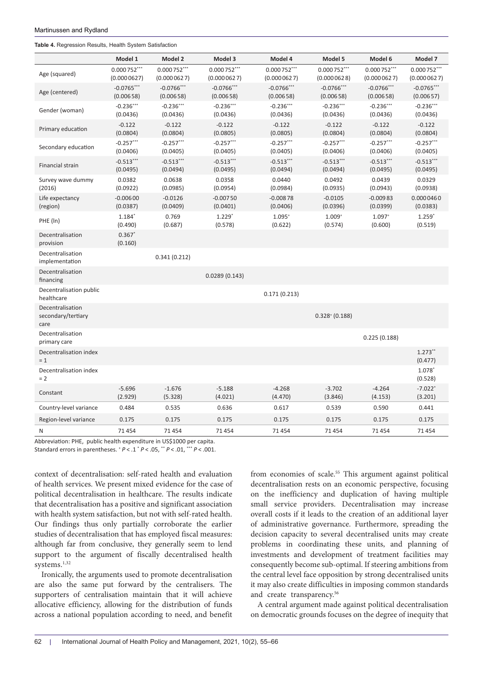<span id="page-7-0"></span>**Table 4.** Regression Results, Health System Satisfaction

|                                                | Model 1                     | Model 2                      | Model 3                    | Model 4                     | Model 5                     | Model 6                    | Model 7                          |
|------------------------------------------------|-----------------------------|------------------------------|----------------------------|-----------------------------|-----------------------------|----------------------------|----------------------------------|
| Age (squared)                                  | 0.000 752***<br>(0.0000627) | $0.000752***$<br>(0.0000627) | 0.000752***<br>(0.0000627) | 0.000 752***<br>(0.0000627) | 0.000 752***<br>(0.0000628) | 0.000752***<br>(0.0000627) | 0.000752***<br>(0.0000627)       |
| Age (centered)                                 | $-0.0765***$<br>(0.00658)   | $-0.0766***$<br>(0.00658)    | $-0.0766$ ***<br>(0.00658) | $-0.0766***$<br>(0.00658)   | $-0.0766***$<br>(0.00658)   | $-0.0766***$<br>(0.00658)  | $-0.0765***$<br>(0.00657)        |
| Gender (woman)                                 | $-0.236***$<br>(0.0436)     | $-0.236***$<br>(0.0436)      | $-0.236***$<br>(0.0436)    | $-0.236***$<br>(0.0436)     | $-0.236***$<br>(0.0436)     | $-0.236***$<br>(0.0436)    | $-0.236***$<br>(0.0436)          |
| Primary education                              | $-0.122$<br>(0.0804)        | $-0.122$<br>(0.0804)         | $-0.122$<br>(0.0805)       | $-0.122$<br>(0.0805)        | $-0.122$<br>(0.0804)        | $-0.122$<br>(0.0804)       | $-0.122$<br>(0.0804)             |
| Secondary education                            | $-0.257***$<br>(0.0406)     | $-0.257***$<br>(0.0405)      | $-0.257***$<br>(0.0405)    | $-0.257***$<br>(0.0405)     | $-0.257***$<br>(0.0406)     | $-0.257***$<br>(0.0406)    | $-0.257***$<br>(0.0405)          |
| Financial strain                               | $-0.513***$<br>(0.0495)     | $-0.513***$<br>(0.0494)      | $-0.513***$<br>(0.0495)    | $-0.513***$<br>(0.0494)     | $-0.513***$<br>(0.0494)     | $-0.513***$<br>(0.0495)    | $-0.513***$<br>(0.0495)          |
| Survey wave dummy<br>(2016)                    | 0.0382<br>(0.0922)          | 0.0638<br>(0.0985)           | 0.0358<br>(0.0954)         | 0.0440<br>(0.0984)          | 0.0492<br>(0.0935)          | 0.0439<br>(0.0943)         | 0.0329<br>(0.0938)               |
| Life expectancy<br>(region)                    | $-0.00600$<br>(0.0387)      | $-0.0126$<br>(0.0409)        | $-0.00750$<br>(0.0401)     | $-0.00878$<br>(0.0406)      | $-0.0105$<br>(0.0396)       | $-0.00983$<br>(0.0399)     | 0.0000460<br>(0.0383)            |
| PHE (In)                                       | $1.184*$<br>(0.490)         | 0.769<br>(0.687)             | $1.229*$<br>(0.578)        | $1.095+$<br>(0.622)         | $1.009+$<br>(0.574)         | $1.097+$<br>(0.600)        | $1.259*$<br>(0.519)              |
| Decentralisation<br>provision                  | $0.367*$<br>(0.160)         |                              |                            |                             |                             |                            |                                  |
| Decentralisation<br>implementation             |                             | 0.341(0.212)                 |                            |                             |                             |                            |                                  |
| Decentralisation<br>financing                  |                             |                              | 0.0289(0.143)              |                             |                             |                            |                                  |
| Decentralisation public<br>healthcare          |                             |                              |                            | 0.171(0.213)                |                             |                            |                                  |
| Decentralisation<br>secondary/tertiary<br>care |                             |                              |                            |                             | $0.328 + (0.188)$           |                            |                                  |
| Decentralisation<br>primary care               |                             |                              |                            |                             |                             | 0.225(0.188)               |                                  |
| Decentralisation index<br>$= 1$                |                             |                              |                            |                             |                             |                            | $1.273**$<br>(0.477)             |
| Decentralisation index<br>$= 2$                |                             |                              |                            |                             |                             |                            | $1.078*$<br>(0.528)              |
| Constant                                       | $-5.696$<br>(2.929)         | $-1.676$<br>(5.328)          | $-5.188$<br>(4.021)        | $-4.268$<br>(4.470)         | $-3.702$<br>(3.846)         | $-4.264$<br>(4.153)        | $-7.022$ <sup>*</sup><br>(3.201) |
| Country-level variance                         | 0.484                       | 0.535                        | 0.636                      | 0.617                       | 0.539                       | 0.590                      | 0.441                            |
| Region-level variance                          | 0.175                       | 0.175                        | 0.175                      | 0.175                       | 0.175                       | 0.175                      | 0.175                            |
| N                                              | 71 454                      | 71 454                       | 71454                      | 71454                       | 71454                       | 71454                      | 71454                            |

Abbreviation: PHE, public health expenditure in US\$1000 per capita. Standard errors in parentheses. <sup>+</sup> *P*< .1 \* *P*< .05, \*\* *P*< .01, \*\*\* *P*< .001.

context of decentralisation: self-rated health and evaluation of health services. We present mixed evidence for the case of political decentralisation in healthcare. The results indicate that decentralisation has a positive and significant association with health system satisfaction, but not with self-rated health. Our findings thus only partially corroborate the earlier studies of decentralisation that has employed fiscal measures: although far from conclusive, they generally seem to lend support to the argument of fiscally decentralised health systems.1,32

Ironically, the arguments used to promote decentralisation are also the same put forward by the centralisers. The supporters of centralisation maintain that it will achieve allocative efficiency, allowing for the distribution of funds across a national population according to need, and benefit from economies of scale.55 This argument against political decentralisation rests on an economic perspective, focusing on the inefficiency and duplication of having multiple small service providers. Decentralisation may increase overall costs if it leads to the creation of an additional layer of administrative governance. Furthermore, spreading the decision capacity to several decentralised units may create problems in coordinating these units, and planning of investments and development of treatment facilities may consequently become sub-optimal. If steering ambitions from the central level face opposition by strong decentralised units it may also create difficulties in imposing common standards and create transparency.56

A central argument made against political decentralisation on democratic grounds focuses on the degree of inequity that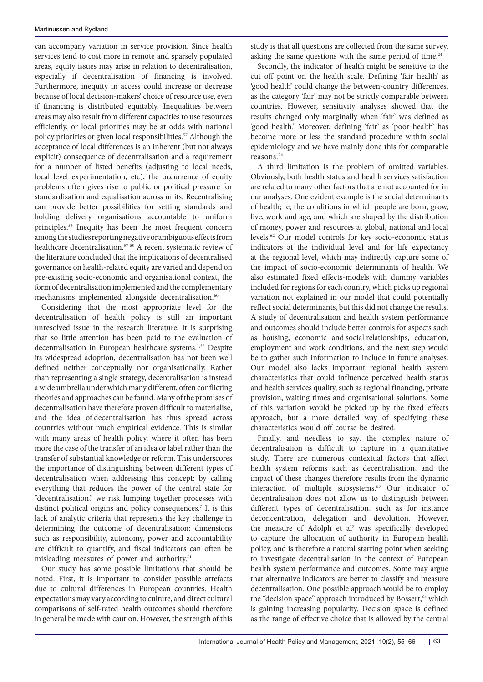can accompany variation in service provision. Since health services tend to cost more in remote and sparsely populated areas, equity issues may arise in relation to decentralisation, especially if decentralisation of financing is involved. Furthermore, inequity in access could increase or decrease because of local decision-makers' choice of resource use, even if financing is distributed equitably. Inequalities between areas may also result from different capacities to use resources efficiently, or local priorities may be at odds with national policy priorities or given local responsibilities.<sup>57</sup> Although the acceptance of local differences is an inherent (but not always explicit) consequence of decentralisation and a requirement for a number of listed benefits (adjusting to local needs, local level experimentation, etc), the occurrence of equity problems often gives rise to public or political pressure for standardisation and equalisation across units. Recentralising can provide better possibilities for setting standards and holding delivery organisations accountable to uniform principles.56 Inequity has been the most frequent concern among the studies reporting negative or ambiguous effects from healthcare decentralisation.57-59 A recent systematic review of the literature concluded that the implications of decentralised governance on health-related equity are varied and depend on pre-existing socio-economic and organisational context, the form of decentralisation implemented and the complementary mechanisms implemented alongside decentralisation.<sup>60</sup>

Considering that the most appropriate level for the decentralisation of health policy is still an important unresolved issue in the research literature, it is surprising that so little attention has been paid to the evaluation of decentralisation in European healthcare systems.1,32 Despite its widespread adoption, decentralisation has not been well defined neither conceptually nor organisationally. Rather than representing a single strategy, decentralisation is instead a wide umbrella under which many different, often conflicting theories and approaches can be found. Many of the promises of decentralisation have therefore proven difficult to materialise, and the idea of decentralisation has thus spread across countries without much empirical evidence. This is similar with many areas of health policy, where it often has been more the case of the transfer of an idea or label rather than the transfer of substantial knowledge or reform. This underscores the importance of distinguishing between different types of decentralisation when addressing this concept: by calling everything that reduces the power of the central state for "decentralisation," we risk lumping together processes with distinct political origins and policy consequences.<sup>7</sup> It is this lack of analytic criteria that represents the key challenge in determining the outcome of decentralisation: dimensions such as responsibility, autonomy, power and accountability are difficult to quantify, and fiscal indicators can often be misleading measures of power and authority.<sup>61</sup>

Our study has some possible limitations that should be noted. First, it is important to consider possible artefacts due to cultural differences in European countries. Health expectations may vary according to culture, and direct cultural comparisons of self-rated health outcomes should therefore in general be made with caution. However, the strength of this

study is that all questions are collected from the same survey, asking the same questions with the same period of time.<sup>24</sup>

Secondly, the indicator of health might be sensitive to the cut off point on the health scale. Defining 'fair health' as 'good health' could change the between-country differences, as the category 'fair' may not be strictly comparable between countries. However, sensitivity analyses showed that the results changed only marginally when 'fair' was defined as 'good health.' Moreover, defining 'fair' as 'poor health' has become more or less the standard procedure within social epidemiology and we have mainly done this for comparable reasons.24

A third limitation is the problem of omitted variables. Obviously, both health status and health services satisfaction are related to many other factors that are not accounted for in our analyses. One evident example is the social determinants of health; ie, the conditions in which people are born, grow, live, work and age, and which are shaped by the distribution of money, power and resources at global, national and local levels.62 Our model controls for key socio-economic status indicators at the individual level and for life expectancy at the regional level, which may indirectly capture some of the impact of socio-economic determinants of health. We also estimated fixed effects-models with dummy variables included for regions for each country, which picks up regional variation not explained in our model that could potentially reflect social determinants, but this did not change the results. A study of decentralisation and health system performance and outcomes should include better controls for aspects such as housing, economic and social relationships, education, employment and work conditions, and the next step would be to gather such information to include in future analyses. Our model also lacks important regional health system characteristics that could influence perceived health status and health services quality, such as regional financing, private provision, waiting times and organisational solutions. Some of this variation would be picked up by the fixed effects approach, but a more detailed way of specifying these characteristics would off course be desired.

Finally, and needless to say, the complex nature of decentralisation is difficult to capture in a quantitative study. There are numerous contextual factors that affect health system reforms such as decentralisation, and the impact of these changes therefore results from the dynamic interaction of multiple subsystems.63 Our indicator of decentralisation does not allow us to distinguish between different types of decentralisation, such as for instance deconcentration, delegation and devolution. However, the measure of Adolph et al<sup>7</sup> was specifically developed to capture the allocation of authority in European health policy, and is therefore a natural starting point when seeking to investigate decentralisation in the context of European health system performance and outcomes. Some may argue that alternative indicators are better to classify and measure decentralisation. One possible approach would be to employ the "decision space" approach introduced by Bossert,<sup>64</sup> which is gaining increasing popularity. Decision space is defined as the range of effective choice that is allowed by the central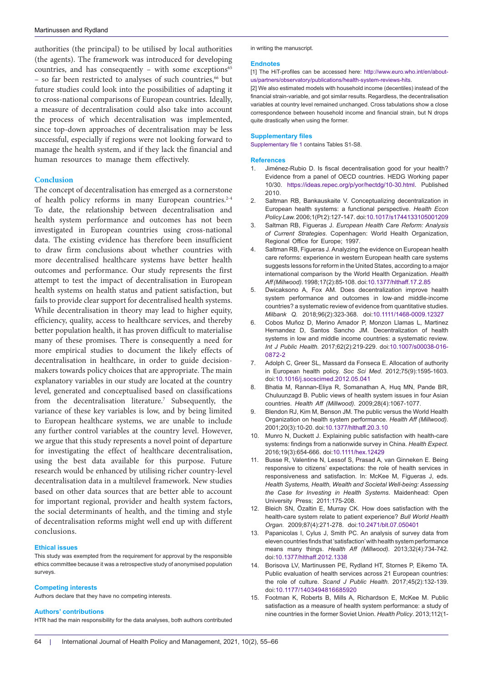authorities (the principal) to be utilised by local authorities (the agents). The framework was introduced for developing countries, and has consequently – with some exceptions $65$ – so far been restricted to analyses of such countries,<sup>66</sup> but future studies could look into the possibilities of adapting it to cross-national comparisons of European countries. Ideally, a measure of decentralisation could also take into account the process of which decentralisation was implemented, since top-down approaches of decentralisation may be less successful, especially if regions were not looking forward to manage the health system, and if they lack the financial and human resources to manage them effectively.

#### **Conclusion**

The concept of decentralisation has emerged as a cornerstone of health policy reforms in many European countries. $2-4$ To date, the relationship between decentralisation and health system performance and outcomes has not been investigated in European countries using cross-national data. The existing evidence has therefore been insufficient to draw firm conclusions about whether countries with more decentralised healthcare systems have better health outcomes and performance. Our study represents the first attempt to test the impact of decentralisation in European health systems on health status and patient satisfaction, but fails to provide clear support for decentralised health systems. While decentralisation in theory may lead to higher equity, efficiency, quality, access to healthcare services, and thereby better population health, it has proven difficult to materialise many of these promises. There is consequently a need for more empirical studies to document the likely effects of decentralisation in healthcare, in order to guide decisionmakers towards policy choices that are appropriate. The main explanatory variables in our study are located at the country level, generated and conceptualised based on classifications from the decentralisation literature.7 Subsequently, the variance of these key variables is low, and by being limited to European healthcare systems, we are unable to include any further control variables at the country level. However, we argue that this study represents a novel point of departure for investigating the effect of healthcare decentralisation, using the best data available for this purpose. Future research would be enhanced by utilising richer country-level decentralisation data in a multilevel framework. New studies based on other data sources that are better able to account for important regional, provider and health system factors, the social determinants of health, and the timing and style of decentralisation reforms might well end up with different conclusions.

#### **Ethical issues**

This study was exempted from the requirement for approval by the responsible ethics committee because it was a retrospective study of anonymised population surveys.

#### **Competing interests**

Authors declare that they have no competing interests.

#### **Authors' contributions**

HTR had the main responsibility for the data analyses, both authors contributed

in writing the manuscript.

#### **Endnotes**

<span id="page-9-0"></span>[1] The HiT-profiles can be accessed here: [http://www.euro.who.int/en/about](http://www.euro.who.int/en/about-us/partners/observatory/publications/health-system-reviews-hits)[us/partners/observatory/publications/health-system-reviews-hits](http://www.euro.who.int/en/about-us/partners/observatory/publications/health-system-reviews-hits).

<span id="page-9-1"></span>[2] We also estimated models with household income (decentiles) instead of the financial strain-variable, and got similar results. Regardless, the decentralisation variables at country level remained unchanged. Cross tabulations show a close correspondence between household income and financial strain, but N drops quite drastically when using the former.

#### **Supplementary files**

<span id="page-9-2"></span>[Supplementary file 1](http://www.ijhpm.com/data/ijhpm/news/Martinussen-Supple-File-1-IJHPM.pdf) contains Tables S1-S8.

#### **References**

- 1. Jiménez-Rubio D. Is fiscal decentralisation good for your health? Evidence from a panel of OECD countries. HEDG Working paper 10/30. <https://ideas.repec.org/p/yor/hectdg/10-30.html>. Published 2010.
- 2. Saltman RB, Bankauskaite V. Conceptualizing decentralization in European health systems: a functional perspective. *Health Econ Policy Law.* 2006;1(Pt 2):127-147. doi:[10.1017/s1744133105001209](https://doi.org/10.1017/s1744133105001209)
- 3. Saltman RB, Figueras J. *European Health Care Reform: Analysis of Current Strategies*. Copenhagen: World Health Organization, Regional Office for Europe; 1997.
- Saltman RB, Figueras J. Analyzing the evidence on European health care reforms: experience in western European health care systems suggests lessons for reform in the United States, according to a major international comparison by the World Health Organization. *Health Aff (Millwood).* 1998;17(2):85-108. doi:[10.1377/hlthaff.17.2.85](https://doi.org/10.1377/hlthaff.17.2.85)
- 5. Dwicaksono A, Fox AM. Does decentralization improve health system performance and outcomes in low-and middle-income countries? a systematic review of evidence from quantitative studies. *Milbank Q.* 2018;96(2):323-368. doi:[10.1111/1468-0009.12327](https://doi.org/10.1111/1468-0009.12327)
- 6. Cobos Muñoz D, Merino Amador P, Monzon Llamas L, Martinez Hernandez D, Santos Sancho JM. Decentralization of health systems in low and middle income countries: a systematic review. *Int J Public Health.* 2017;62(2):219-229. doi[:10.1007/s00038-016-](https://doi.org/10.1007/s00038-016-0872-2) [0872-2](https://doi.org/10.1007/s00038-016-0872-2)
- 7. Adolph C, Greer SL, Massard da Fonseca E. Allocation of authority in European health policy. *Soc Sci Med.* 2012;75(9):1595-1603. doi:[10.1016/j.socscimed.2012.05.041](https://doi.org/10.1016/j.socscimed.2012.05.041)
- 8. Bhatia M, Rannan-Eliya R, Somanathan A, Huq MN, Pande BR, Chuluunzagd B. Public views of health system issues in four Asian countries. *Health Aff (Millwood).* 2009;28(4):1067-1077.
- 9. Blendon RJ, Kim M, Benson JM. The public versus the World Health Organization on health system performance. *Health Aff (Millwood).*  2001;20(3):10-20. doi:[10.1377/hlthaff.20.3.10](https://doi.org/10.1377/hlthaff.20.3.10)
- 10. Munro N, Duckett J. Explaining public satisfaction with health-care systems: findings from a nationwide survey in China. *Health Expect.*  2016;19(3):654-666. doi:[10.1111/hex.12429](https://doi.org/10.1111/hex.12429)
- 11. Busse R, Valentine N, Lessof S, Prasad A, van Ginneken E. Being responsive to citizens' expectations: the role of health services in responsiveness and satisfaction. In: McKee M, Figueras J, eds. *Health Systems, Health, Wealth and Societal Well-being: Assessing the Case for Investing in Health Systems*. Maidenhead: Open University Press; 2011:175-208.
- 12. Bleich SN, Özaltin E, Murray CK. How does satisfaction with the health-care system relate to patient experience? *Bull World Health Organ.* 2009;87(4):271-278. doi[:10.2471/blt.07.050401](https://doi.org/10.2471/blt.07.050401)
- 13. Papanicolas I, Cylus J, Smith PC. An analysis of survey data from eleven countries finds that 'satisfaction' with health system performance means many things. *Health Aff (Millwood).* 2013;32(4):734-742. doi[:10.1377/hlthaff.2012.1338](https://doi.org/10.1377/hlthaff.2012.1338)
- 14. Borisova LV, Martinussen PE, Rydland HT, Stornes P, Eikemo TA. Public evaluation of health services across 21 European countries: the role of culture. *Scand J Public Health.* 2017;45(2):132-139. doi:[10.1177/1403494816685920](https://doi.org/10.1177/1403494816685920)
- 15. Footman K, Roberts B, Mills A, Richardson E, McKee M. Public satisfaction as a measure of health system performance: a study of nine countries in the former Soviet Union. *Health Policy*. 2013;112(1-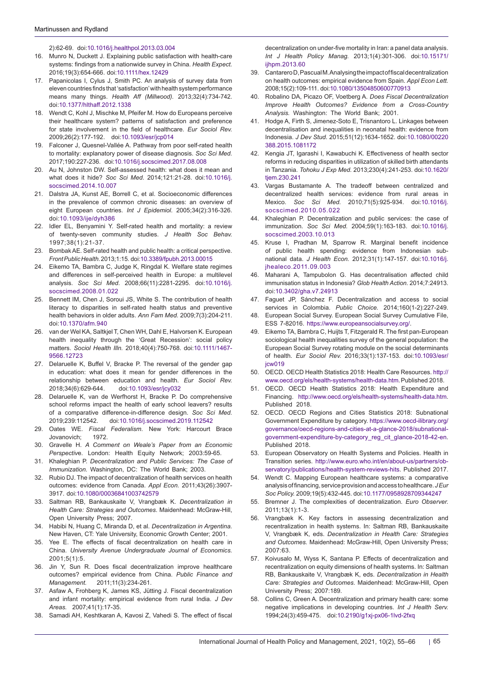2):62-69. doi:[10.1016/j.healthpol.2013.03.004](https://doi.org/10.1016/j.healthpol.2013.03.004)

- 16. Munro N, Duckett J. Explaining public satisfaction with health-care systems: findings from a nationwide survey in China. *Health Expect.*  2016;19(3):654-666. doi[:10.1111/hex.12429](https://doi.org/10.1111/hex.12429)
- 17. Papanicolas I, Cylus J, Smith PC. An analysis of survey data from eleven countries finds that 'satisfaction' with health system performance means many things. *Health Aff (Millwood).* 2013;32(4):734-742. doi:[10.1377/hlthaff.2012.1338](https://doi.org/10.1377/hlthaff.2012.1338)
- 18. Wendt C, Kohl J, Mischke M, Pfeifer M. How do Europeans perceive their healthcare system? patterns of satisfaction and preference for state involvement in the field of healthcare. *Eur Sociol Rev.*  2009;26(2):177-192. doi:[10.1093/esr/jcp014](https://doi.org/10.1093/esr/jcp014)
- 19. Falconer J, Quesnel-Vallée A. Pathway from poor self-rated health to mortality: explanatory power of disease diagnosis. *Soc Sci Med.*  2017;190:227-236. doi[:10.1016/j.socscimed.2017.08.008](https://doi.org/10.1016/j.socscimed.2017.08.008)
- 20. Au N, Johnston DW. Self-assessed health: what does it mean and what does it hide? *Soc Sci Med*. 2014;121:21-28. doi:[10.1016/j.](https://doi.org/10.1016/j.socscimed.2014.10.007) [socscimed.2014.10.007](https://doi.org/10.1016/j.socscimed.2014.10.007)
- 21. Dalstra JA, Kunst AE, Borrell C, et al. Socioeconomic differences in the prevalence of common chronic diseases: an overview of eight European countries. *Int J Epidemiol*. 2005;34(2):316-326. doi:[10.1093/ije/dyh386](https://doi.org/10.1093/ije/dyh386)
- 22. Idler EL, Benyamini Y. Self-rated health and mortality: a review of twenty-seven community studies. *J Health Soc Behav.*  1997;38(1):21-37.
- 23. Bombak AE. Self-rated health and public health: a critical perspective. *Front Public Health*. 2013;1:15. doi:[10.3389/fpubh.2013.00015](https://doi.org/10.3389/fpubh.2013.00015)
- 24. Eikemo TA, Bambra C, Judge K, Ringdal K. Welfare state regimes and differences in self-perceived health in Europe: a multilevel analysis. *Soc Sci Med.* 2008;66(11):2281-2295. doi:[10.1016/j.](https://doi.org/10.1016/j.socscimed.2008.01.022) [socscimed.2008.01.022](https://doi.org/10.1016/j.socscimed.2008.01.022)
- 25. Bennett IM, Chen J, Soroui JS, White S. The contribution of health literacy to disparities in self-rated health status and preventive health behaviors in older adults. *Ann Fam Med.* 2009;7(3):204-211. doi[:10.1370/afm.940](https://doi.org/10.1370/afm.940)
- van der Wel KA, Saltkjel T, Chen WH, Dahl E, Halvorsen K. European health inequality through the 'Great Recession': social policy matters. *Sociol Health Illn.* 2018;40(4):750-768. doi:[10.1111/1467-](https://doi.org/10.1111/1467-9566.12723) [9566.12723](https://doi.org/10.1111/1467-9566.12723)
- 27. Delaruelle K, Buffel V, Bracke P. The reversal of the gender gap in education: what does it mean for gender differences in the relationship between education and health. *Eur Sociol Rev.*  2018;34(6):629-644. doi:[10.1093/esr/jcy032](https://doi.org/10.1093/esr/jcy032)
- 28. Delaruelle K, van de Werfhorst H, Bracke P. Do comprehensive school reforms impact the health of early school leavers? results of a comparative difference-in-difference design. *Soc Sci Med.*  2019;239:112542. doi[:10.1016/j.socscimed.2019.112542](https://doi.org/10.1016/j.socscimed.2019.112542)
- 29. Oates WE. *Fiscal Federalism*. New York: Harcourt Brace Jovanovich; 1972.
- 30. Gravelle H. *A Comment on Weale's Paper from an Economic Perspectiv*e. London: Health Equity Network; 2003:59-65.
- 31. Khaleghian P. *Decentralization and Public Services: The Case of Immunization.* Washington, DC: The World Bank; 2003.
- 32. Rubio DJ. The impact of decentralization of health services on health outcomes: evidence from Canada. *Appl Econ.* 2011;43(26):3907- 3917. doi[:10.1080/00036841003742579](https://doi.org/10.1080/00036841003742579  )
- 33. Saltman RB, Bankauskaite V, Vrangbæk K. *Decentralization in Health Care: Strategies and Outcomes*. Maidenhead: McGraw-Hill, Open University Press; 2007.
- 34. Habibi N, Huang C, Miranda D, et al. *Decentralization in Argentina.*  New Haven, CT: Yale University, Economic Growth Center; 2001.
- 35. Yee E. The effects of fiscal decentralization on health care in China. *University Avenue Undergraduate Journal of Economics.*  2001;5(1):5.
- 36. Jin Y, Sun R. Does fiscal decentralization improve healthcare outcomes? empirical evidence from China. *Public Finance and Management.* 2011;11(3):234-261.
- 37. Asfaw A, Frohberg K, James KS, Jütting J. Fiscal decentralization and infant mortality: empirical evidence from rural India. *J Dev Areas.* 2007;41(1):17-35.
- 38. Samadi AH, Keshtkaran A, Kavosi Z, Vahedi S. The effect of fiscal

decentralization on under-five mortality in Iran: a panel data analysis. *Int J Health Policy Manag.* 2013;1(4):301-306. doi:[10.15171/](https://doi.org/10.15171/ijhpm.2013.60) [ijhpm.2013.60](https://doi.org/10.15171/ijhpm.2013.60)

- 39. Cantarero D, Pascual M. Analysing the impact of fiscal decentralization on health outcomes: empirical evidence from Spain. *Appl Econ Lett.*  2008;15(2):109-111.  doi:[10.1080/13504850600770913](https://doi.org/10.1080/13504850600770913)
- 40. Robalino DA, Picazo OF, Voetberg A. *Does Fiscal Decentralization Improve Health Outcomes? Evidence from a Cross-Country Analysis.* Washington: The World Bank; 2001.
- 41. Hodge A, Firth S, Jimenez-Soto E, Trisnantoro L. Linkages between decentralisation and inequalities in neonatal health: evidence from Indonesia. *J Dev Stud*. 2015;51(12):1634-1652. doi[:10.1080/00220](https://doi.org/10.1080/00220388.2015.1081172) [388.2015.1081172](https://doi.org/10.1080/00220388.2015.1081172)
- 42. Kengia JT, Igarashi I, Kawabuchi K. Effectiveness of health sector reforms in reducing disparities in utilization of skilled birth attendants in Tanzania. *Tohoku J Exp Med.* 2013;230(4):241-253. doi[:10.1620/](https://doi.org/10.1620/tjem.230.241) tiem 230.241
- 43. Vargas Bustamante A. The tradeoff between centralized and decentralized health services: evidence from rural areas in Mexico. *Soc Sci Med.* 2010;71(5):925-934. doi[:10.1016/j.](https://doi.org/10.1016/j.socscimed.2010.05.022) [socscimed.2010.05.022](https://doi.org/10.1016/j.socscimed.2010.05.022)
- 44. Khaleghian P. Decentralization and public services: the case of immunization. *Soc Sci Med.* 2004;59(1):163-183. doi[:10.1016/j.](https://doi.org/10.1016/j.socscimed.2003.10.013) [socscimed.2003.10.013](https://doi.org/10.1016/j.socscimed.2003.10.013)
- 45. Kruse I, Pradhan M, Sparrow R. Marginal benefit incidence of public health spending: evidence from Indonesian subnational data. *J Health Econ.* 2012;31(1):147-157. doi[:10.1016/j.](https://doi.org/10.1016/j.jhealeco.2011.09.003) [jhealeco.2011.09.003](https://doi.org/10.1016/j.jhealeco.2011.09.003)
- 46. Maharani A, Tampubolon G. Has decentralisation affected child immunisation status in Indonesia? *Glob Health Action.* 2014;7:24913. doi:[10.3402/gha.v7.24913](https://doi.org/10.3402/gha.v7.24913)
- 47. Faguet JP, Sánchez F. Decentralization and access to social services in Colombia. *Public Choice.* 2014;160(1-2):227-249.
- 48. European Social Survey. European Social Survey Cumulative File, ESS 7-82016. <https://www.europeansocialsurvey.org/>.
- 49. Eikemo TA, Bambra C, Huijts T, Fitzgerald R. The first pan-European sociological health inequalities survey of the general population: the European Social Survey rotating module on the social determinants of health. *Eur Sociol Rev.* 2016;33(1):137-153. doi:[10.1093/esr/](https://doi.org/10.1093/esr/jcw019) icw019
- 50. OECD. OECD Health Statistics 2018: Health Care Resources. [http://](http://www.oecd.org/els/health-systems/health-data.htm) [www.oecd.org/els/health-systems/health-data.htm](http://www.oecd.org/els/health-systems/health-data.htm). Published 2018.
- 51. OECD. OECD Health Statistics 2018: Health Expenditure and Financing. [http://www.oecd.org/els/health-systems/health-data.htm.](http://www.oecd.org/els/health-systems/health-data.htm) Published 2018.
- 52. OECD. OECD Regions and Cities Statistics 2018: Subnational Government Expenditure by category. [https://www.oecd-ilibrary.org/](https://www.oecd-ilibrary.org/governance/oecd-regions-and-cities-at-a-glance-2018/subnational-government-expenditure-by-category_reg_cit_glance-2018-42-en) [governance/oecd-regions-and-cities-at-a-glance-2018/subnational](https://www.oecd-ilibrary.org/governance/oecd-regions-and-cities-at-a-glance-2018/subnational-government-expenditure-by-category_reg_cit_glance-2018-42-en)[government-expenditure-by-category\\_reg\\_cit\\_glance-2018-42-en.](https://www.oecd-ilibrary.org/governance/oecd-regions-and-cities-at-a-glance-2018/subnational-government-expenditure-by-category_reg_cit_glance-2018-42-en) Published 2018.
- 53. European Observatory on Health Systems and Policies. Health in Transition series. [http://www.euro.who.int/en/about-us/partners/ob](http://www.euro.who.int/en/about-us/partners/observatory/publications/health-system-reviews-hits)[servatory/publications/health-system-reviews-hits.](http://www.euro.who.int/en/about-us/partners/observatory/publications/health-system-reviews-hits) Published 2017.
- 54. Wendt C. Mapping European healthcare systems: a comparative analysis of financing, service provision and access to healthcare. *J Eur Soc Policy.* 2009;19(5):432-445. doi[:10.1177/0958928709344247](https://doi.org/10.1177/0958928709344247)
- 55. Bremner J. The complexities of decentralization. *Euro Observer.*  2011;13(1):1-3.
- 56. Vrangbæk K. Key factors in assessing decentralization and recentralization in health systems. In: Saltman RB, Bankauskaite V, Vrangbæk K, eds. *Decentralization in Health Care: Strategies and Outcomes.* Maidenhead: McGraw-Hill, Open University Press; 2007:63.
- 57. Koivusalo M, Wyss K, Santana P. Effects of decentralization and recentralization on equity dimensions of health systems. In: Saltman RB, Bankauskaite V, Vrangbæk K, eds. *Decentralization in Health Care: Strategies and Outcomes*. Maidenhead: McGraw-Hill, Open University Press; 2007:189.
- 58. Collins C, Green A. Decentralization and primary health care: some negative implications in developing countries. *Int J Health Serv.*  1994;24(3):459-475. doi:[10.2190/g1xj-px06-1lvd-2fxq](https://doi.org/10.2190/g1xj-px06-1lvd-2fxq)